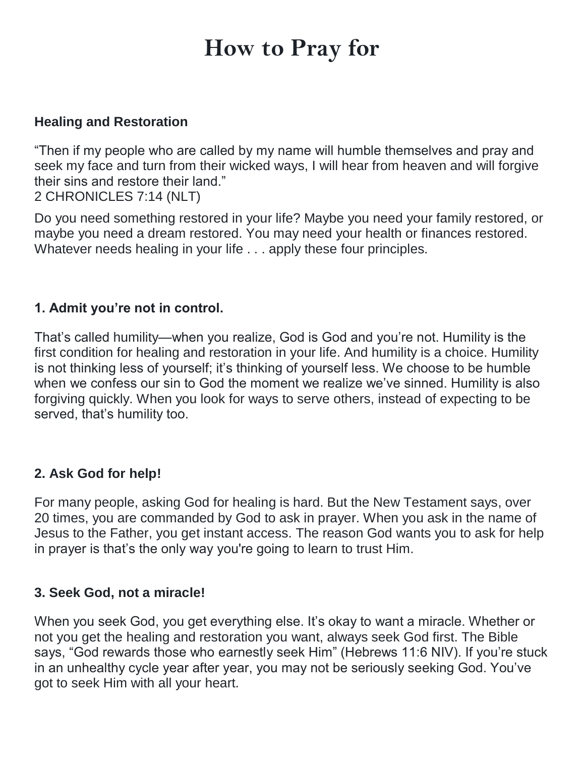# **How to Pray for**

#### **Healing and Restoration**

"Then if my people who are called by my name will humble themselves and pray and seek my face and turn from their wicked ways, I will hear from heaven and will forgive their sins and restore their land."

2 CHRONICLES 7:14 (NLT)

Do you need something restored in your life? Maybe you need your family restored, or maybe you need a dream restored. You may need your health or finances restored. Whatever needs healing in your life . . . apply these four principles.

#### **1. Admit you're not in control.**

That's called humility—when you realize, God is God and you're not. Humility is the first condition for healing and restoration in your life. And humility is a choice. Humility is not thinking less of yourself; it's thinking of yourself less. We choose to be humble when we confess our sin to God the moment we realize we've sinned. Humility is also forgiving quickly. When you look for ways to serve others, instead of expecting to be served, that's humility too.

### **2. Ask God for help!**

For many people, asking God for healing is hard. But the New Testament says, over 20 times, you are commanded by God to ask in prayer. When you ask in the name of Jesus to the Father, you get instant access. The reason God wants you to ask for help in prayer is that's the only way you're going to learn to trust Him.

#### **3. Seek God, not a miracle!**

When you seek God, you get everything else. It's okay to want a miracle. Whether or not you get the healing and restoration you want, always seek God first. The Bible says, "God rewards those who earnestly seek Him" (Hebrews 11:6 NIV). If you're stuck in an unhealthy cycle year after year, you may not be seriously seeking God. You've got to seek Him with all your heart.